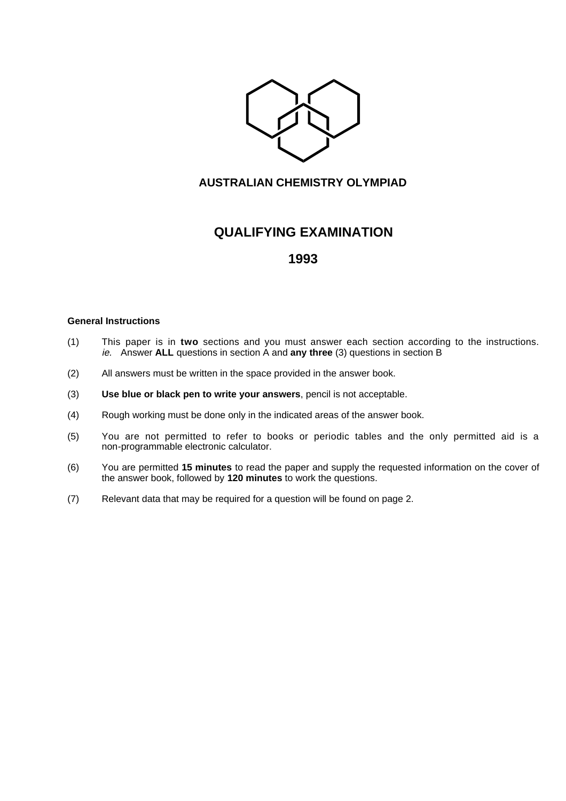

## **AUSTRALIAN CHEMISTRY OLYMPIAD**

# **QUALIFYING EXAMINATION**

## **1993**

#### **General Instructions**

- (1) This paper is in **two** sections and you must answer each section according to the instructions. ie. Answer **ALL** questions in section A and **any three** (3) questions in section B
- (2) All answers must be written in the space provided in the answer book.
- (3) **Use blue or black pen to write your answers**, pencil is not acceptable.
- (4) Rough working must be done only in the indicated areas of the answer book.
- (5) You are not permitted to refer to books or periodic tables and the only permitted aid is a non-programmable electronic calculator.
- (6) You are permitted **15 minutes** to read the paper and supply the requested information on the cover of the answer book, followed by **120 minutes** to work the questions.
- (7) Relevant data that may be required for a question will be found on page 2.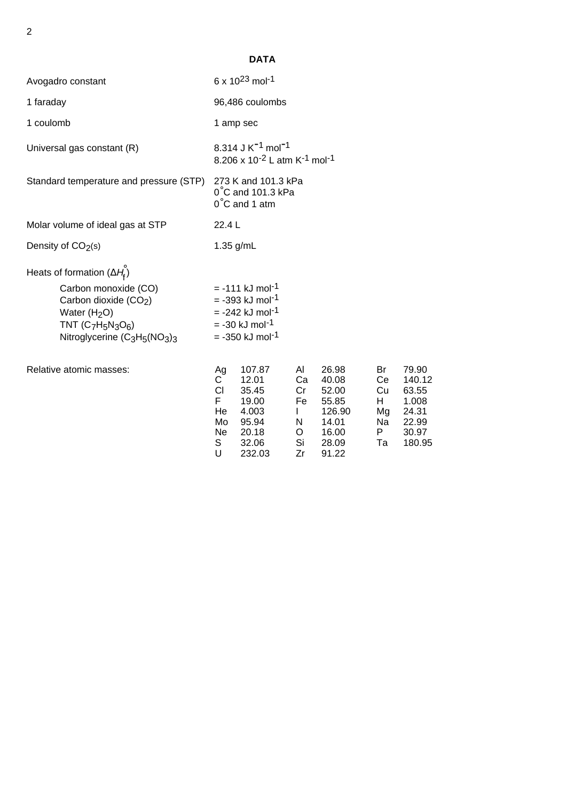|                                                                                                                                                                                                                   |                                                                   | <b>DATA</b>                                                                                                                                                      |                                                                  |                                                                                |                                              |                                                                        |
|-------------------------------------------------------------------------------------------------------------------------------------------------------------------------------------------------------------------|-------------------------------------------------------------------|------------------------------------------------------------------------------------------------------------------------------------------------------------------|------------------------------------------------------------------|--------------------------------------------------------------------------------|----------------------------------------------|------------------------------------------------------------------------|
| Avogadro constant                                                                                                                                                                                                 |                                                                   | 6 x $10^{23}$ mol <sup>-1</sup>                                                                                                                                  |                                                                  |                                                                                |                                              |                                                                        |
| 1 faraday                                                                                                                                                                                                         |                                                                   | 96,486 coulombs                                                                                                                                                  |                                                                  |                                                                                |                                              |                                                                        |
| 1 coulomb                                                                                                                                                                                                         |                                                                   | 1 amp sec                                                                                                                                                        |                                                                  |                                                                                |                                              |                                                                        |
| Universal gas constant (R)                                                                                                                                                                                        |                                                                   | 8.314 J K <sup>-1</sup> mol <sup>-1</sup><br>8.206 x 10 <sup>-2</sup> L atm K <sup>-1</sup> mol <sup>-1</sup>                                                    |                                                                  |                                                                                |                                              |                                                                        |
| Standard temperature and pressure (STP)                                                                                                                                                                           |                                                                   | 273 K and 101.3 kPa<br>$0^{\circ}$ C and 101.3 kPa<br>$0^{\circ}$ C and 1 atm                                                                                    |                                                                  |                                                                                |                                              |                                                                        |
| Molar volume of ideal gas at STP                                                                                                                                                                                  | 22.4 L                                                            |                                                                                                                                                                  |                                                                  |                                                                                |                                              |                                                                        |
| Density of $CO2(s)$                                                                                                                                                                                               |                                                                   | 1.35 g/mL                                                                                                                                                        |                                                                  |                                                                                |                                              |                                                                        |
| Heats of formation $(\Delta H_{\rm f})$<br>Carbon monoxide (CO)<br>Carbon dioxide (CO2)<br>Water $(H2O)$<br>TNT $(C_7H_5N_3O_6)$<br>Nitroglycerine (C <sub>3</sub> H <sub>5</sub> (NO <sub>3</sub> ) <sub>3</sub> |                                                                   | $= -111$ kJ mol <sup>-1</sup><br>$= -393$ kJ mol <sup>-1</sup><br>$= -242$ kJ mol <sup>-1</sup><br>$= -30$ kJ mol <sup>-1</sup><br>$= -350$ kJ mol <sup>-1</sup> |                                                                  |                                                                                |                                              |                                                                        |
| Relative atomic masses:                                                                                                                                                                                           | Ag<br>$\mathbf{C}$<br><b>CI</b><br>F.<br>He<br>Mo<br>Ne<br>S<br>U | 107.87<br>12.01<br>35.45<br>19.00<br>4.003<br>95.94<br>20.18<br>32.06<br>232.03                                                                                  | AI<br>Ca<br>Cr<br>Fe<br>$\mathbf{L}$<br>N<br>$\circ$<br>Si<br>Zr | 26.98<br>40.08<br>52.00<br>55.85<br>126.90<br>14.01<br>16.00<br>28.09<br>91.22 | Br<br>Ce<br>Cu<br>H.<br>Mg<br>Na<br>P.<br>Ta | 79.90<br>140.12<br>63.55<br>1.008<br>24.31<br>22.99<br>30.97<br>180.95 |

2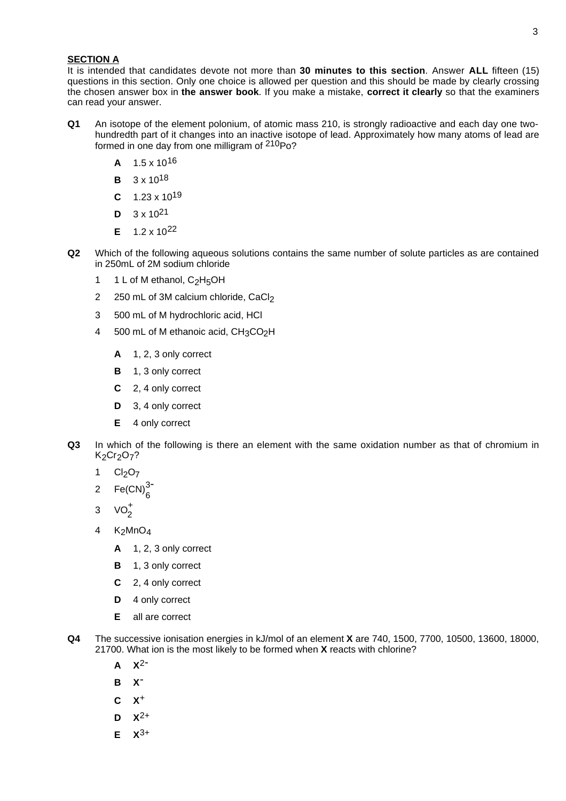#### **SECTION A**

It is intended that candidates devote not more than **30 minutes to this section**. Answer **ALL** fifteen (15) questions in this section. Only one choice is allowed per question and this should be made by clearly crossing the chosen answer box in **the answer book**. If you make a mistake, **correct it clearly** so that the examiners can read your answer.

- **Q1** An isotope of the element polonium, of atomic mass 210, is strongly radioactive and each day one twohundredth part of it changes into an inactive isotope of lead. Approximately how many atoms of lead are formed in one day from one milligram of 210Po?
	- **A** 1.5 x 1016
	- **B** 3 x 1018
	- **C** 1.23 x 1019
	- $D = 3 \times 10^{21}$
	- **E** 1.2 x 1022
- **Q2** Which of the following aqueous solutions contains the same number of solute particles as are contained in 250mL of 2M sodium chloride
	- 1 1 L of M ethanol,  $C_2H_5OH$
	- 2 250 mL of 3M calcium chloride, CaCl<sub>2</sub>
	- 3 500 mL of M hydrochloric acid, HCl
	- 4 500 mL of M ethanoic acid, CH3CO<sub>2</sub>H
		- **A** 1, 2, 3 only correct
		- **B** 1, 3 only correct
		- **C** 2, 4 only correct
		- **D** 3, 4 only correct
		- **E** 4 only correct
- **Q3** In which of the following is there an element with the same oxidation number as that of chromium in K<sub>2</sub>Cr<sub>2</sub>O<sub>7</sub>?
	- 1  $Cl<sub>2</sub>O<sub>7</sub>$
	- 2  $Fe(CN)<sub>6</sub><sup>3-</sup>$
	- 3  $VO<sub>2</sub><sup>+</sup>$
	- 4  $K_2MnO_4$ 
		- **A** 1, 2, 3 only correct
		- **B** 1, 3 only correct
		- **C** 2, 4 only correct
		- **D** 4 only correct
		- **E** all are correct
- **Q4** The successive ionisation energies in kJ/mol of an element **X** are 740, 1500, 7700, 10500, 13600, 18000, 21700. What ion is the most likely to be formed when **X** reacts with chlorine?
	- **A X**2-
	- **B X**-
	- **C X**+
	- **D X**2+
	- **E**  $X^{3+}$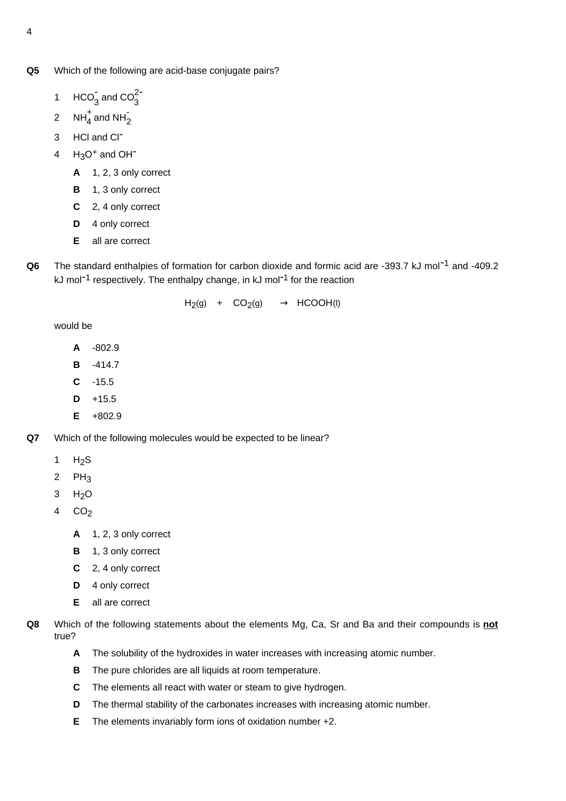- **Q5** Which of the following are acid-base conjugate pairs?
	- 1  $HCO<sub>3</sub><sup>2</sup>$  and  $CO<sub>3</sub><sup>2</sup>$
	- 2  $NH_4^+$  and NH<sub>2</sub>
	- 3 HCl and Cl-
	- $4$  H<sub>3</sub>O<sup>+</sup> and OH<sup>-</sup>
		- **A** 1, 2, 3 only correct
		- **B** 1, 3 only correct
		- **C** 2, 4 only correct
		- **D** 4 only correct
		- **E** all are correct
- **Q6** The standard enthalpies of formation for carbon dioxide and formic acid are -393.7 kJ mol<sup>-1</sup> and -409.2 kJ mol<sup>-1</sup> respectively. The enthalpy change, in kJ mol<sup>-1</sup> for the reaction

 $H_2(g)$  +  $CO_2(g)$   $\longrightarrow$  HCOOH(I)

would be

- **A** -802.9
- **B** -414.7
- **C** -15.5
- $D + 15.5$
- **E** +802.9
- **Q7** Which of the following molecules would be expected to be linear?
	- 1  $H<sub>2</sub>S$
	- 2  $PH_3$
	- 3 H2O
	- 4 CO2
		- **A** 1, 2, 3 only correct
		- **B** 1, 3 only correct
		- **C** 2, 4 only correct
		- **D** 4 only correct
		- **E** all are correct
- **Q8** Which of the following statements about the elements Mg, Ca, Sr and Ba and their compounds is **not** true?
	- **A** The solubility of the hydroxides in water increases with increasing atomic number.
	- **B** The pure chlorides are all liquids at room temperature.
	- **C** The elements all react with water or steam to give hydrogen.
	- **D** The thermal stability of the carbonates increases with increasing atomic number.
	- **E** The elements invariably form ions of oxidation number +2.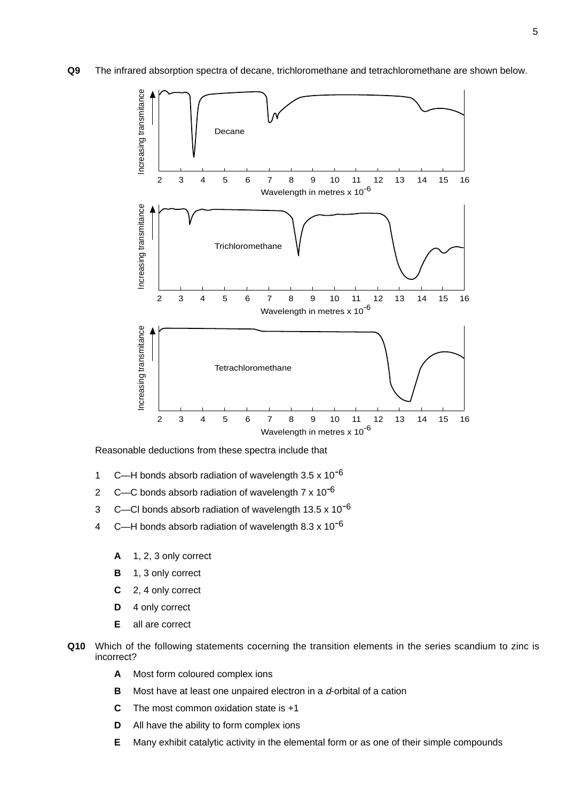**Q9** The infrared absorption spectra of decane, trichloromethane and tetrachloromethane are shown below.



Reasonable deductions from these spectra include that

- 1 C—H bonds absorb radiation of wavelength  $3.5 \times 10^{-6}$
- 2 C—C bonds absorb radiation of wavelength  $7 \times 10^{-6}$
- 3 C—CI bonds absorb radiation of wavelength  $13.5 \times 10^{-6}$
- 4 C—H bonds absorb radiation of wavelength  $8.3 \times 10^{-6}$ 
	- **A** 1, 2, 3 only correct
	- **B** 1, 3 only correct
	- **C** 2, 4 only correct
	- **D** 4 only correct
	- **E** all are correct
- **Q10** Which of the following statements cocerning the transition elements in the series scandium to zinc is incorrect?
	- **A** Most form coloured complex ions
	- **B** Most have at least one unpaired electron in a d-orbital of a cation
	- **C** The most common oxidation state is +1
	- **D** All have the ability to form complex ions
	- **E** Many exhibit catalytic activity in the elemental form or as one of their simple compounds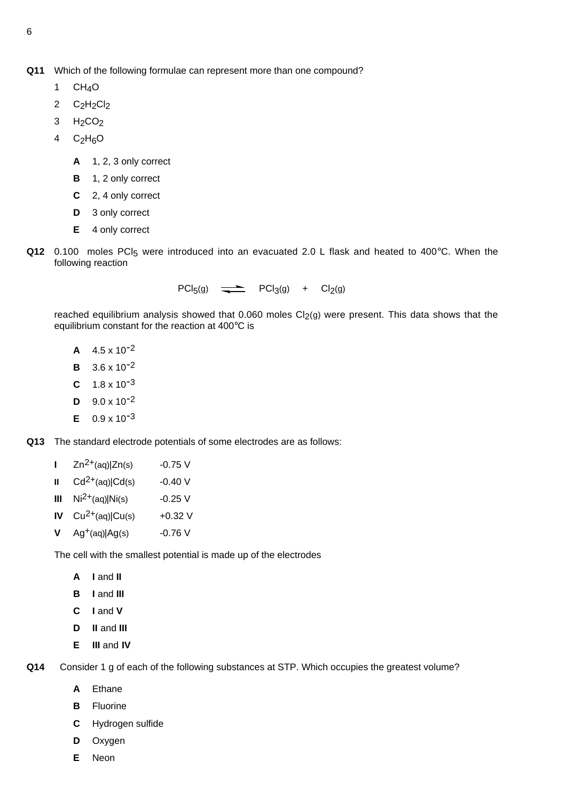- 1  $CH<sub>4</sub>O$
- 2  $C_2H_2Cl_2$
- $3 H<sub>2</sub>CO<sub>2</sub>$
- 4  $C_2H_6O$ 
	- **A** 1, 2, 3 only correct
	- **B** 1, 2 only correct
	- **C** 2, 4 only correct
	- **D** 3 only correct
	- **E** 4 only correct
- Q12 0.100 moles PCI<sub>5</sub> were introduced into an evacuated 2.0 L flask and heated to 400°C. When the following reaction

 $PCl_5(g)$   $\longrightarrow$   $PCl_3(g)$  +  $Cl_2(g)$ 

reached equilibrium analysis showed that  $0.060$  moles  $Cl<sub>2</sub>(g)$  were present. This data shows that the equilibrium constant for the reaction at 400°C is

- $A = 4.5 \times 10^{-2}$
- **<sup>B</sup>** 3.6 x 10-2
- $C = 1.8 \times 10^{-3}$
- $D = 9.0 \times 10^{-2}$
- $E = 0.9 \times 10^{-3}$

**Q13** The standard electrode potentials of some electrodes are as follows:

- **I**  $Zn^{2+}(aq)|Zn(s)$  -0.75 V
- **II**  $Cd^{2+}(aq)|Cd(s)$  -0.40 V
- **III**  $Ni^{2+}(aq)$ |Ni(s)  $-0.25$  V
- **IV**  $Cu^{2+}(aq)|Cu(s)$  +0.32 V
- **V** Ag<sup>+</sup>(aq)|Ag(s) -0.76 V

The cell with the smallest potential is made up of the electrodes

- **A I** and **II**
- **B I** and **III**
- **C I** and **V**
- **D II** and **III**
- **E III** and **IV**

**Q14** Consider 1 g of each of the following substances at STP. Which occupies the greatest volume?

- **A** Ethane
- **B** Fluorine
- **C** Hydrogen sulfide
- **D** Oxygen
- **E** Neon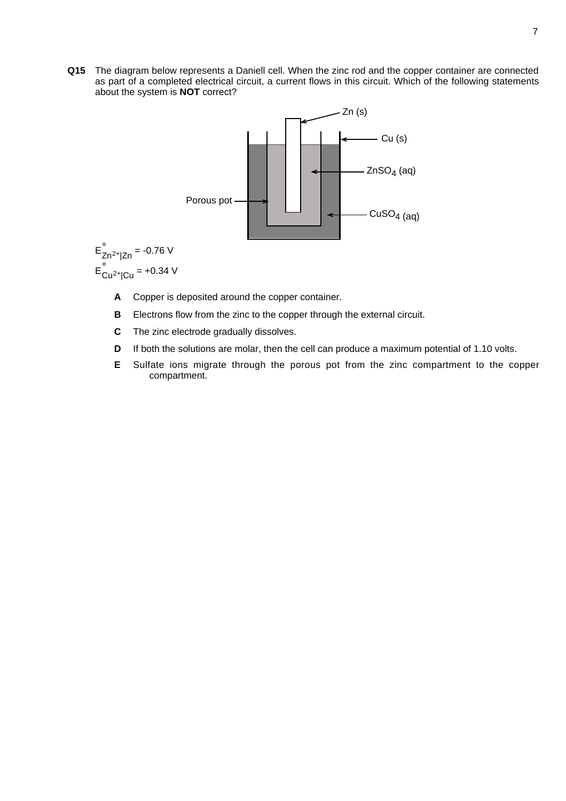**Q15** The diagram below represents a Daniell cell. When the zinc rod and the copper container are connected as part of a completed electrical circuit, a current flows in this circuit. Which of the following statements about the system is **NOT** correct?



$$
E_{Zn^{2+}|Zn}^{\circ} = -0.76 \text{ V}
$$

$$
E_{Cu^{2+}|Cu}^{\circ} = +0.34 \text{ V}
$$

- **A** Copper is deposited around the copper container.
- **B** Electrons flow from the zinc to the copper through the external circuit.
- **C** The zinc electrode gradually dissolves.
- **D** If both the solutions are molar, then the cell can produce a maximum potential of 1.10 volts.
- **E** Sulfate ions migrate through the porous pot from the zinc compartment to the copper compartment.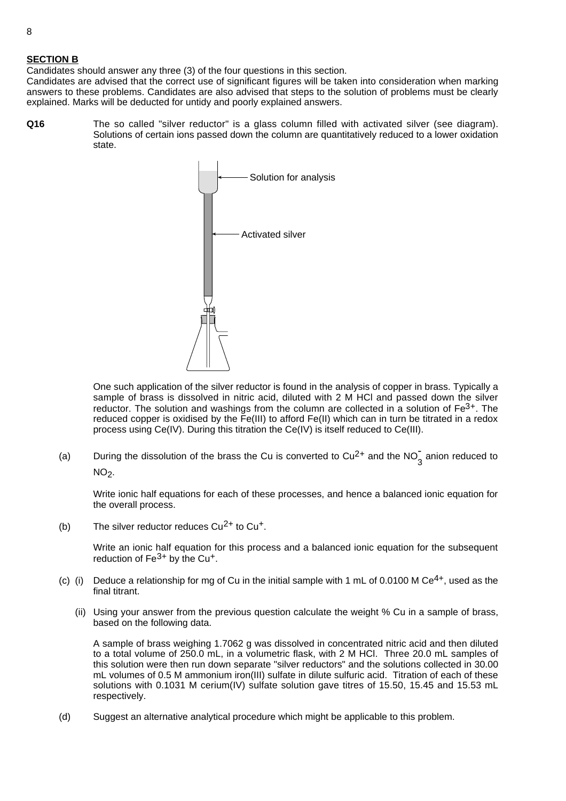### **SECTION B**

Candidates should answer any three (3) of the four questions in this section.

Candidates are advised that the correct use of significant figures will be taken into consideration when marking answers to these problems. Candidates are also advised that steps to the solution of problems must be clearly explained. Marks will be deducted for untidy and poorly explained answers.

**Q16** The so called "silver reductor" is a glass column filled with activated silver (see diagram). Solutions of certain ions passed down the column are quantitatively reduced to a lower oxidation state.



One such application of the silver reductor is found in the analysis of copper in brass. Typically a sample of brass is dissolved in nitric acid, diluted with 2 M HCl and passed down the silver reductor. The solution and washings from the column are collected in a solution of  $Fe<sup>3+</sup>$ . The reduced copper is oxidised by the Fe(III) to afford Fe(II) which can in turn be titrated in a redox process using Ce(IV). During this titration the Ce(IV) is itself reduced to Ce(III).

(a) During the dissolution of the brass the Cu is converted to Cu<sup>2+</sup> and the NO<sub>3</sub> anion reduced to

 $NO<sub>2</sub>$ .

Write ionic half equations for each of these processes, and hence a balanced ionic equation for the overall process.

(b) The silver reductor reduces  $Cu^{2+}$  to  $Cu^{+}$ .

Write an ionic half equation for this process and a balanced ionic equation for the subsequent reduction of  $Fe<sup>3+</sup>$  by the Cu<sup>+</sup>.

- (c) (i) Deduce a relationship for mg of Cu in the initial sample with 1 mL of 0.0100 M Ce<sup>4+</sup>, used as the final titrant.
	- (ii) Using your answer from the previous question calculate the weight % Cu in a sample of brass, based on the following data.

A sample of brass weighing 1.7062 g was dissolved in concentrated nitric acid and then diluted to a total volume of 250.0 mL, in a volumetric flask, with 2 M HCl. Three 20.0 mL samples of this solution were then run down separate "silver reductors" and the solutions collected in 30.00 mL volumes of 0.5 M ammonium iron(III) sulfate in dilute sulfuric acid. Titration of each of these solutions with 0.1031 M cerium(IV) sulfate solution gave titres of 15.50, 15.45 and 15.53 mL respectively.

(d) Suggest an alternative analytical procedure which might be applicable to this problem.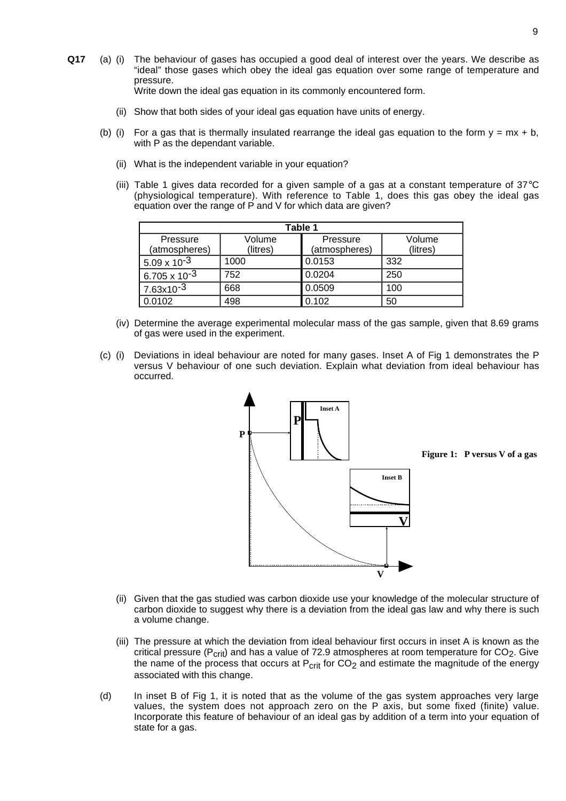- **Q17** (a) (i) The behaviour of gases has occupied a good deal of interest over the years. We describe as "ideal" those gases which obey the ideal gas equation over some range of temperature and pressure. Write down the ideal gas equation in its commonly encountered form.
	- (ii) Show that both sides of your ideal gas equation have units of energy.
	- (b) (i) For a gas that is thermally insulated rearrange the ideal gas equation to the form  $y = mx + b$ , with P as the dependant variable.
		- (ii) What is the independent variable in your equation?
		- (iii) Table 1 gives data recorded for a given sample of a gas at a constant temperature of 37°C (physiological temperature). With reference to Table 1, does this gas obey the ideal gas equation over the range of P and V for which data are given?

| Table 1                |          |               |          |  |  |  |  |
|------------------------|----------|---------------|----------|--|--|--|--|
| Pressure               | Volume   | Pressure      | Volume   |  |  |  |  |
| (atmospheres)          | (litres) | (atmospheres) | (litres) |  |  |  |  |
| $5.09 \times 10^{-3}$  | 1000     | 0.0153        | 332      |  |  |  |  |
| $6.705 \times 10^{-3}$ | 752      | 0.0204        | 250      |  |  |  |  |
| $7.63x10^{-3}$         | 668      | 0.0509        | 100      |  |  |  |  |
| 0.0102                 | 498      | 0.102         | 50       |  |  |  |  |

- (iv) Determine the average experimental molecular mass of the gas sample, given that 8.69 grams of gas were used in the experiment.
- (c) (i) Deviations in ideal behaviour are noted for many gases. Inset A of Fig 1 demonstrates the P versus V behaviour of one such deviation. Explain what deviation from ideal behaviour has occurred.



**Figure 1: P versus V of a gas**

- (ii) Given that the gas studied was carbon dioxide use your knowledge of the molecular structure of carbon dioxide to suggest why there is a deviation from the ideal gas law and why there is such a volume change.
- (iii) The pressure at which the deviation from ideal behaviour first occurs in inset A is known as the critical pressure ( $P_{\text{crit}}$ ) and has a value of 72.9 atmospheres at room temperature for CO<sub>2</sub>. Give the name of the process that occurs at  $P_{crit}$  for  $CO<sub>2</sub>$  and estimate the magnitude of the energy associated with this change.
- (d) In inset B of Fig 1, it is noted that as the volume of the gas system approaches very large values, the system does not approach zero on the P axis, but some fixed (finite) value. Incorporate this feature of behaviour of an ideal gas by addition of a term into your equation of state for a gas.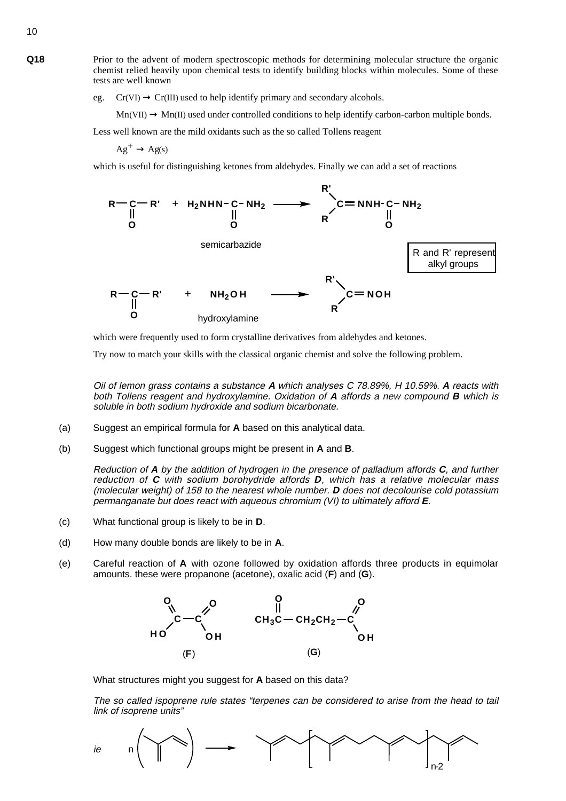**Q18** Prior to the advent of modern spectroscopic methods for determining molecular structure the organic chemist relied heavily upon chemical tests to identify building blocks within molecules. Some of these tests are well known

eg.  $Cr(VI) \rightarrow Cr(III)$  used to help identify primary and secondary alcohols.

 $Mn(VII) \rightarrow Mn(II)$  used under controlled conditions to help identify carbon-carbon multiple bonds.

Less well known are the mild oxidants such as the so called Tollens reagent

 $Ag^+ \rightarrow Ag(s)$ 

which is useful for distinguishing ketones from aldehydes. Finally we can add a set of reactions



which were frequently used to form crystalline derivatives from aldehydes and ketones.

Try now to match your skills with the classical organic chemist and solve the following problem.

Oil of lemon grass contains a substance **A** which analyses C 78.89%, H 10.59%. **A** reacts with both Tollens reagent and hydroxylamine. Oxidation of **A** affords a new compound **B** which is soluble in both sodium hydroxide and sodium bicarbonate.

- (a) Suggest an empirical formula for **A** based on this analytical data.
- (b) Suggest which functional groups might be present in **A** and **B**.

Reduction of **A** by the addition of hydrogen in the presence of palladium affords **C**, and further reduction of **C** with sodium borohydride affords **D**, which has a relative molecular mass (molecular weight) of 158 to the nearest whole number. **D** does not decolourise cold potassium permanganate but does react with aqueous chromium (VI) to ultimately afford **E**.

- (c) What functional group is likely to be in **D**.
- (d) How many double bonds are likely to be in **A**.
- (e) Careful reaction of **A** with ozone followed by oxidation affords three products in equimolar amounts. these were propanone (acetone), oxalic acid (**F**) and (**G**).



What structures might you suggest for **A** based on this data?

The so called ispoprene rule states "terpenes can be considered to arise from the head to tail link of isoprene units"



10